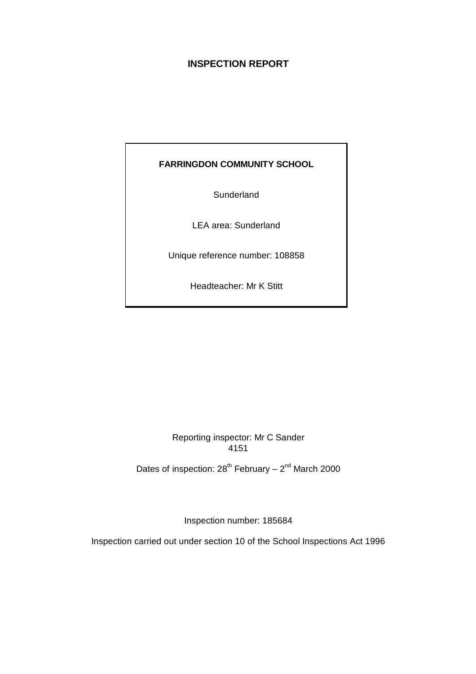# **INSPECTION REPORT**

# **FARRINGDON COMMUNITY SCHOOL**

**Sunderland** 

LEA area: Sunderland

Unique reference number: 108858

Headteacher: Mr K Stitt

Reporting inspector: Mr C Sander 4151

Dates of inspection:  $28^{th}$  February –  $2^{nd}$  March 2000

Inspection number: 185684

Inspection carried out under section 10 of the School Inspections Act 1996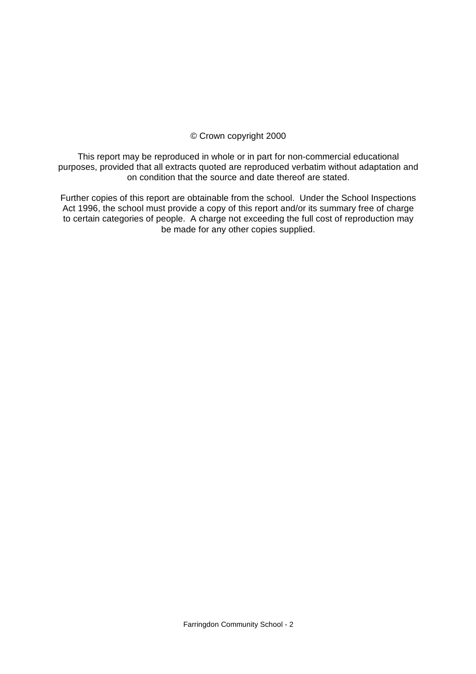## © Crown copyright 2000

This report may be reproduced in whole or in part for non-commercial educational purposes, provided that all extracts quoted are reproduced verbatim without adaptation and on condition that the source and date thereof are stated.

Further copies of this report are obtainable from the school. Under the School Inspections Act 1996, the school must provide a copy of this report and/or its summary free of charge to certain categories of people. A charge not exceeding the full cost of reproduction may be made for any other copies supplied.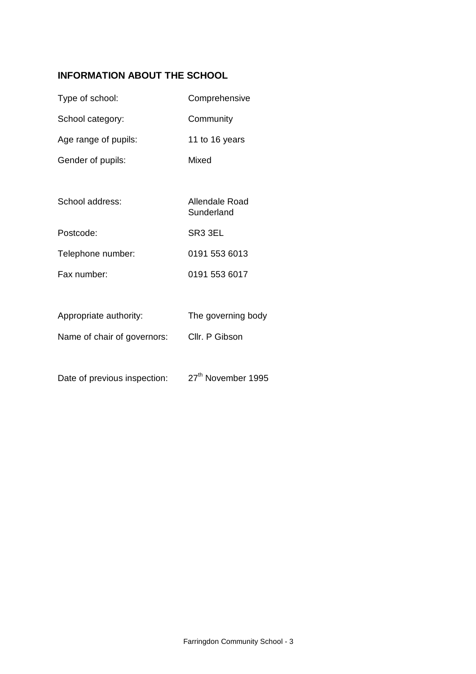# **INFORMATION ABOUT THE SCHOOL**

| Type of school:      | Comprehensive  |
|----------------------|----------------|
| School category:     | Community      |
| Age range of pupils: | 11 to 16 years |
| Gender of pupils:    | Mixed          |
|                      |                |

| School address:   | Allendale Road<br>Sunderland |
|-------------------|------------------------------|
| Postcode:         | SR <sub>3</sub> 3EL          |
| Telephone number: | 0191 553 6013                |
| Fax number:       | 0191 553 6017                |

| Appropriate authority: | The governing body |
|------------------------|--------------------|
|                        |                    |

Name of chair of governors: Cllr. P Gibson

Date of previous inspection: 27<sup>th</sup> November 1995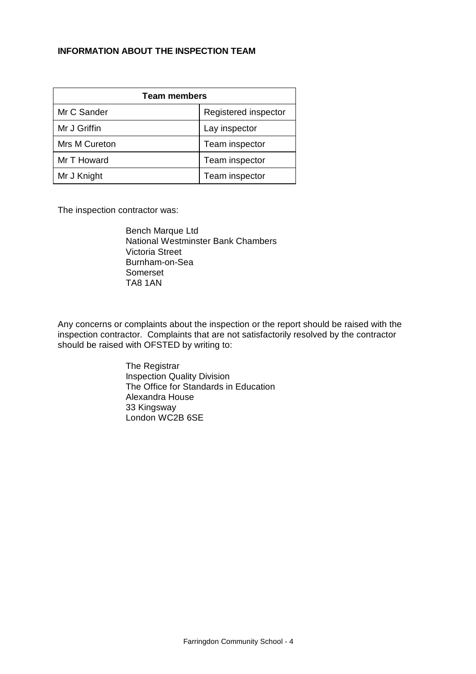#### **INFORMATION ABOUT THE INSPECTION TEAM**

| <b>Team members</b> |                      |  |  |
|---------------------|----------------------|--|--|
| Mr C Sander         | Registered inspector |  |  |
| Mr J Griffin        | Lay inspector        |  |  |
| Mrs M Cureton       | Team inspector       |  |  |
| Mr T Howard         | Team inspector       |  |  |
| Mr J Knight         | Team inspector       |  |  |

The inspection contractor was:

Bench Marque Ltd National Westminster Bank Chambers Victoria Street Burnham-on-Sea Somerset TA8 1AN

Any concerns or complaints about the inspection or the report should be raised with the inspection contractor. Complaints that are not satisfactorily resolved by the contractor should be raised with OFSTED by writing to:

> The Registrar Inspection Quality Division The Office for Standards in Education Alexandra House 33 Kingsway London WC2B 6SE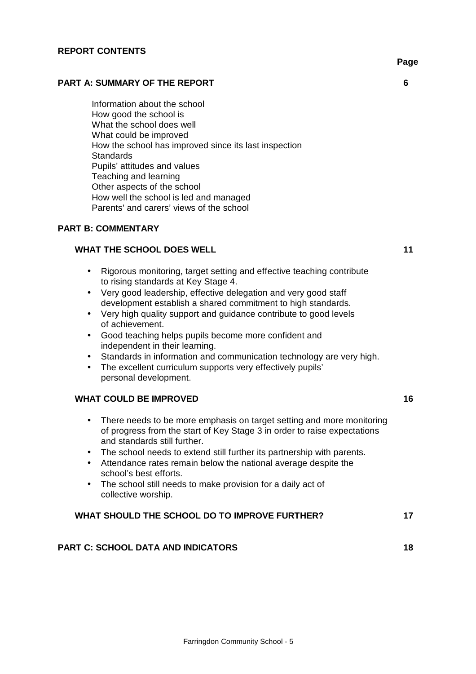#### **PART A: SUMMARY OF THE REPORT 6**

Information about the school How good the school is What the school does well What could be improved How the school has improved since its last inspection **Standards** Pupils' attitudes and values Teaching and learning Other aspects of the school How well the school is led and managed Parents' and carers' views of the school

#### **PART B: COMMENTARY**

#### **WHAT THE SCHOOL DOES WELL 11 11 11**

- Rigorous monitoring, target setting and effective teaching contribute to rising standards at Key Stage 4.
- Very good leadership, effective delegation and very good staff development establish a shared commitment to high standards.
- Very high quality support and quidance contribute to good levels of achievement.
- Good teaching helps pupils become more confident and independent in their learning.
- Standards in information and communication technology are very high.
- The excellent curriculum supports very effectively pupils' personal development.

#### WHAT COULD BE IMPROVED **16**

- There needs to be more emphasis on target setting and more monitoring of progress from the start of Key Stage 3 in order to raise expectations and standards still further.
- The school needs to extend still further its partnership with parents.
- Attendance rates remain below the national average despite the school's best efforts.
- The school still needs to make provision for a daily act of collective worship.

#### WHAT SHOULD THE SCHOOL DO TO IMPROVE FURTHER? 17

#### **PART C: SCHOOL DATA AND INDICATORS 18**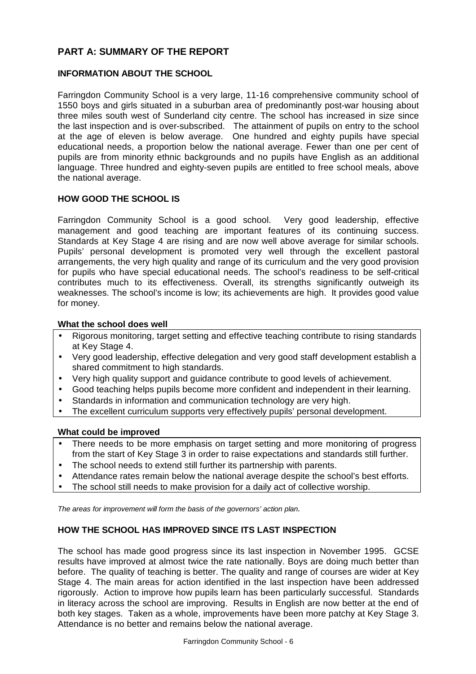# **PART A: SUMMARY OF THE REPORT**

## **INFORMATION ABOUT THE SCHOOL**

Farringdon Community School is a very large, 11-16 comprehensive community school of 1550 boys and girls situated in a suburban area of predominantly post-war housing about three miles south west of Sunderland city centre. The school has increased in size since the last inspection and is over-subscribed. The attainment of pupils on entry to the school at the age of eleven is below average. One hundred and eighty pupils have special educational needs, a proportion below the national average. Fewer than one per cent of pupils are from minority ethnic backgrounds and no pupils have English as an additional language. Three hundred and eighty-seven pupils are entitled to free school meals, above the national average.

### **HOW GOOD THE SCHOOL IS**

Farringdon Community School is a good school. Very good leadership, effective management and good teaching are important features of its continuing success. Standards at Key Stage 4 are rising and are now well above average for similar schools. Pupils' personal development is promoted very well through the excellent pastoral arrangements, the very high quality and range of its curriculum and the very good provision for pupils who have special educational needs. The school's readiness to be self-critical contributes much to its effectiveness. Overall, its strengths significantly outweigh its weaknesses. The school's income is low; its achievements are high. It provides good value for money.

#### **What the school does well**

- Rigorous monitoring, target setting and effective teaching contribute to rising standards at Key Stage 4.
- Very good leadership, effective delegation and very good staff development establish a shared commitment to high standards.
- Very high quality support and guidance contribute to good levels of achievement.
- Good teaching helps pupils become more confident and independent in their learning.
- Standards in information and communication technology are very high.
- The excellent curriculum supports very effectively pupils' personal development.

#### **What could be improved**

- There needs to be more emphasis on target setting and more monitoring of progress from the start of Key Stage 3 in order to raise expectations and standards still further.
- The school needs to extend still further its partnership with parents.
- Attendance rates remain below the national average despite the school's best efforts.
- The school still needs to make provision for a daily act of collective worship.

*The areas for improvement will form the basis of the governors' action plan.*

## **HOW THE SCHOOL HAS IMPROVED SINCE ITS LAST INSPECTION**

The school has made good progress since its last inspection in November 1995. GCSE results have improved at almost twice the rate nationally. Boys are doing much better than before. The quality of teaching is better. The quality and range of courses are wider at Key Stage 4. The main areas for action identified in the last inspection have been addressed rigorously. Action to improve how pupils learn has been particularly successful. Standards in literacy across the school are improving. Results in English are now better at the end of both key stages. Taken as a whole, improvements have been more patchy at Key Stage 3. Attendance is no better and remains below the national average.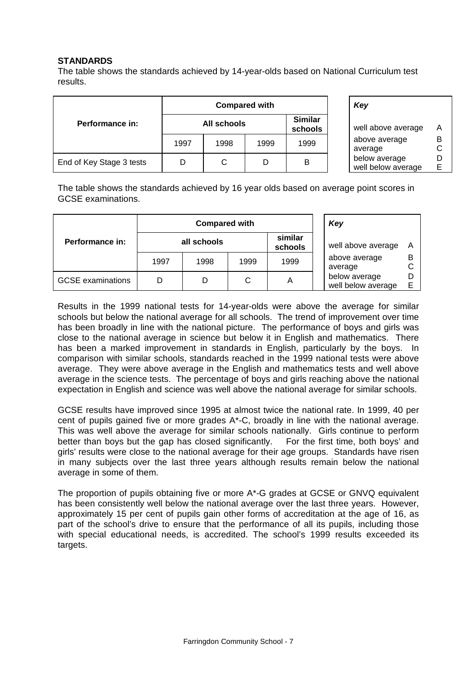#### **STANDARDS**

The table shows the standards achieved by 14-year-olds based on National Curriculum test results.

|                          | <b>Compared with</b> |      |      |                           | Key                              |
|--------------------------|----------------------|------|------|---------------------------|----------------------------------|
| Performance in:          | All schools          |      |      | <b>Similar</b><br>schools | well above ave                   |
|                          | 1997                 | 1998 | 1999 | 1999                      | above average<br>average         |
| End of Key Stage 3 tests |                      | С    |      | B                         | below average<br>well below aver |

|                           | Key                                 |          |
|---------------------------|-------------------------------------|----------|
| <b>Similar</b><br>schools | well above average                  | A        |
| 1999                      | above average<br>average            | в<br>C   |
| в                         | below average<br>well below average | נ ו<br>F |

The table shows the standards achieved by 16 year olds based on average point scores in GCSE examinations.

|                          | <b>Compared with</b> |      |      |                    | Key                                 |   |  |
|--------------------------|----------------------|------|------|--------------------|-------------------------------------|---|--|
| Performance in:          | all schools          |      |      | similar<br>schools | well above average                  | Α |  |
|                          | 1997                 | 1998 | 1999 | 1999               | above average<br>average            | В |  |
| <b>GCSE</b> examinations |                      |      | С    | Α                  | below average<br>well below average | E |  |

Results in the 1999 national tests for 14-year-olds were above the average for similar schools but below the national average for all schools. The trend of improvement over time has been broadly in line with the national picture. The performance of boys and girls was close to the national average in science but below it in English and mathematics. There has been a marked improvement in standards in English, particularly by the boys. In comparison with similar schools, standards reached in the 1999 national tests were above average. They were above average in the English and mathematics tests and well above average in the science tests. The percentage of boys and girls reaching above the national expectation in English and science was well above the national average for similar schools.

GCSE results have improved since 1995 at almost twice the national rate. In 1999, 40 per cent of pupils gained five or more grades A\*-C, broadly in line with the national average. This was well above the average for similar schools nationally. Girls continue to perform better than boys but the gap has closed significantly. For the first time, both boys' and girls' results were close to the national average for their age groups. Standards have risen in many subjects over the last three years although results remain below the national average in some of them.

The proportion of pupils obtaining five or more A\*-G grades at GCSE or GNVQ equivalent has been consistently well below the national average over the last three years. However, approximately 15 per cent of pupils gain other forms of accreditation at the age of 16, as part of the school's drive to ensure that the performance of all its pupils, including those with special educational needs, is accredited. The school's 1999 results exceeded its targets.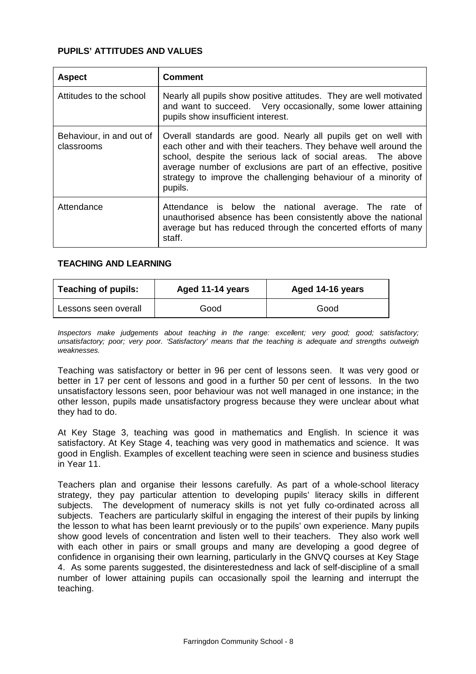#### **PUPILS' ATTITUDES AND VALUES**

| <b>Aspect</b>                          | Comment                                                                                                                                                                                                                                                                                                                                          |  |  |  |  |
|----------------------------------------|--------------------------------------------------------------------------------------------------------------------------------------------------------------------------------------------------------------------------------------------------------------------------------------------------------------------------------------------------|--|--|--|--|
| Attitudes to the school                | Nearly all pupils show positive attitudes. They are well motivated<br>and want to succeed. Very occasionally, some lower attaining<br>pupils show insufficient interest.                                                                                                                                                                         |  |  |  |  |
| Behaviour, in and out of<br>classrooms | Overall standards are good. Nearly all pupils get on well with<br>each other and with their teachers. They behave well around the<br>school, despite the serious lack of social areas. The above<br>average number of exclusions are part of an effective, positive<br>strategy to improve the challenging behaviour of a minority of<br>pupils. |  |  |  |  |
| Attendance                             | Attendance is below the national average. The rate of<br>unauthorised absence has been consistently above the national<br>average but has reduced through the concerted efforts of many<br>staff.                                                                                                                                                |  |  |  |  |

#### **TEACHING AND LEARNING**

| <b>Teaching of pupils:</b><br>Aged 11-14 years |      | Aged 14-16 years |  |  |  |
|------------------------------------------------|------|------------------|--|--|--|
| Lessons seen overall                           | Good | Good             |  |  |  |

*Inspectors make judgements about teaching in the range: excellent; very good; good; satisfactory; unsatisfactory; poor; very poor. 'Satisfactory' means that the teaching is adequate and strengths outweigh weaknesses.*

Teaching was satisfactory or better in 96 per cent of lessons seen. It was very good or better in 17 per cent of lessons and good in a further 50 per cent of lessons. In the two unsatisfactory lessons seen, poor behaviour was not well managed in one instance; in the other lesson, pupils made unsatisfactory progress because they were unclear about what they had to do.

At Key Stage 3, teaching was good in mathematics and English. In science it was satisfactory. At Key Stage 4, teaching was very good in mathematics and science. It was good in English. Examples of excellent teaching were seen in science and business studies in Year 11.

Teachers plan and organise their lessons carefully. As part of a whole-school literacy strategy, they pay particular attention to developing pupils' literacy skills in different subjects. The development of numeracy skills is not yet fully co-ordinated across all subjects. Teachers are particularly skilful in engaging the interest of their pupils by linking the lesson to what has been learnt previously or to the pupils' own experience. Many pupils show good levels of concentration and listen well to their teachers. They also work well with each other in pairs or small groups and many are developing a good degree of confidence in organising their own learning, particularly in the GNVQ courses at Key Stage 4. As some parents suggested, the disinterestedness and lack of self-discipline of a small number of lower attaining pupils can occasionally spoil the learning and interrupt the teaching.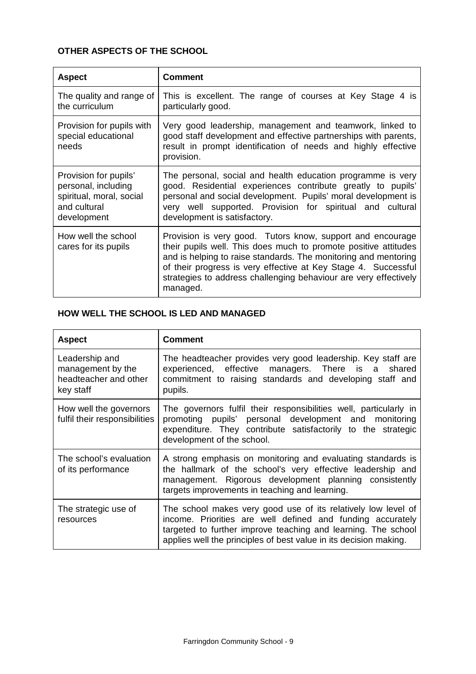# **OTHER ASPECTS OF THE SCHOOL**

| <b>Aspect</b>                                                                                           | <b>Comment</b>                                                                                                                                                                                                                                                                                                                                     |
|---------------------------------------------------------------------------------------------------------|----------------------------------------------------------------------------------------------------------------------------------------------------------------------------------------------------------------------------------------------------------------------------------------------------------------------------------------------------|
| The quality and range of<br>the curriculum                                                              | This is excellent. The range of courses at Key Stage 4 is<br>particularly good.                                                                                                                                                                                                                                                                    |
| Provision for pupils with<br>special educational<br>needs                                               | Very good leadership, management and teamwork, linked to<br>good staff development and effective partnerships with parents,<br>result in prompt identification of needs and highly effective<br>provision.                                                                                                                                         |
| Provision for pupils'<br>personal, including<br>spiritual, moral, social<br>and cultural<br>development | The personal, social and health education programme is very<br>good. Residential experiences contribute greatly to pupils'<br>personal and social development. Pupils' moral development is<br>very well supported. Provision for spiritual and cultural<br>development is satisfactory.                                                           |
| How well the school<br>cares for its pupils                                                             | Provision is very good. Tutors know, support and encourage<br>their pupils well. This does much to promote positive attitudes<br>and is helping to raise standards. The monitoring and mentoring<br>of their progress is very effective at Key Stage 4. Successful<br>strategies to address challenging behaviour are very effectively<br>managed. |

# **HOW WELL THE SCHOOL IS LED AND MANAGED**

| <b>Aspect</b>                                                             | <b>Comment</b>                                                                                                                                                                                                                                                    |
|---------------------------------------------------------------------------|-------------------------------------------------------------------------------------------------------------------------------------------------------------------------------------------------------------------------------------------------------------------|
| Leadership and<br>management by the<br>headteacher and other<br>key staff | The headteacher provides very good leadership. Key staff are<br>experienced, effective managers. There is a shared<br>commitment to raising standards and developing staff and<br>pupils.                                                                         |
| How well the governors<br>fulfil their responsibilities                   | The governors fulfil their responsibilities well, particularly in<br>promoting pupils' personal development and monitoring<br>expenditure. They contribute satisfactorily to the strategic<br>development of the school.                                          |
| The school's evaluation<br>of its performance                             | A strong emphasis on monitoring and evaluating standards is<br>the hallmark of the school's very effective leadership and<br>management. Rigorous development planning consistently<br>targets improvements in teaching and learning.                             |
| The strategic use of<br>resources                                         | The school makes very good use of its relatively low level of<br>income. Priorities are well defined and funding accurately<br>targeted to further improve teaching and learning. The school<br>applies well the principles of best value in its decision making. |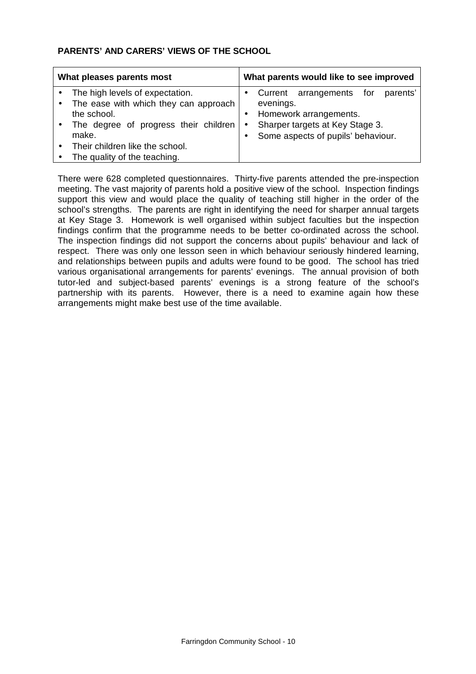## **PARENTS' AND CARERS' VIEWS OF THE SCHOOL**

| What pleases parents most |                                                                                                                                                                              |  | What parents would like to see improved |                                                                                                                         |     |          |  |
|---------------------------|------------------------------------------------------------------------------------------------------------------------------------------------------------------------------|--|-----------------------------------------|-------------------------------------------------------------------------------------------------------------------------|-----|----------|--|
|                           | The high levels of expectation.<br>The ease with which they can approach<br>the school.<br>The degree of progress their children<br>make.<br>Their children like the school. |  | evenings.                               | Current arrangements<br>Homework arrangements.<br>Sharper targets at Key Stage 3.<br>Some aspects of pupils' behaviour. | for | parents' |  |
|                           | The quality of the teaching.                                                                                                                                                 |  |                                         |                                                                                                                         |     |          |  |

There were 628 completed questionnaires. Thirty-five parents attended the pre-inspection meeting. The vast majority of parents hold a positive view of the school. Inspection findings support this view and would place the quality of teaching still higher in the order of the school's strengths. The parents are right in identifying the need for sharper annual targets at Key Stage 3. Homework is well organised within subject faculties but the inspection findings confirm that the programme needs to be better co-ordinated across the school. The inspection findings did not support the concerns about pupils' behaviour and lack of respect. There was only one lesson seen in which behaviour seriously hindered learning, and relationships between pupils and adults were found to be good. The school has tried various organisational arrangements for parents' evenings. The annual provision of both tutor-led and subject-based parents' evenings is a strong feature of the school's partnership with its parents. However, there is a need to examine again how these arrangements might make best use of the time available.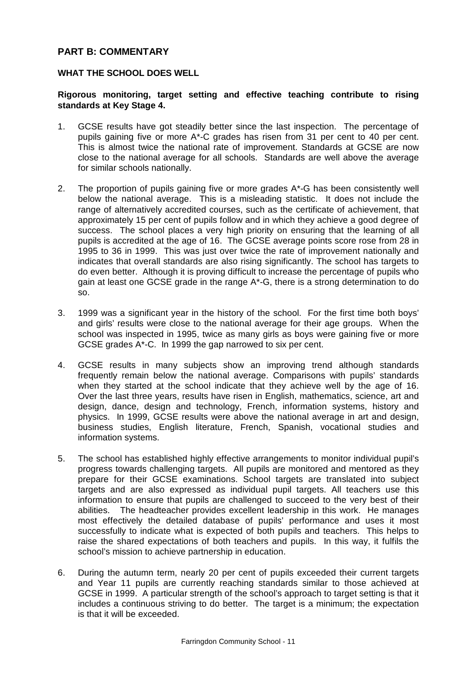## **PART B: COMMENTARY**

#### **WHAT THE SCHOOL DOES WELL**

#### **Rigorous monitoring, target setting and effective teaching contribute to rising standards at Key Stage 4.**

- 1. GCSE results have got steadily better since the last inspection. The percentage of pupils gaining five or more A\*-C grades has risen from 31 per cent to 40 per cent. This is almost twice the national rate of improvement. Standards at GCSE are now close to the national average for all schools. Standards are well above the average for similar schools nationally.
- 2. The proportion of pupils gaining five or more grades A\*-G has been consistently well below the national average. This is a misleading statistic. It does not include the range of alternatively accredited courses, such as the certificate of achievement, that approximately 15 per cent of pupils follow and in which they achieve a good degree of success. The school places a very high priority on ensuring that the learning of all pupils is accredited at the age of 16. The GCSE average points score rose from 28 in 1995 to 36 in 1999. This was just over twice the rate of improvement nationally and indicates that overall standards are also rising significantly. The school has targets to do even better. Although it is proving difficult to increase the percentage of pupils who gain at least one GCSE grade in the range A\*-G, there is a strong determination to do so.
- 3. 1999 was a significant year in the history of the school. For the first time both boys' and girls' results were close to the national average for their age groups. When the school was inspected in 1995, twice as many girls as boys were gaining five or more GCSE grades A\*-C. In 1999 the gap narrowed to six per cent.
- 4. GCSE results in many subjects show an improving trend although standards frequently remain below the national average. Comparisons with pupils' standards when they started at the school indicate that they achieve well by the age of 16. Over the last three years, results have risen in English, mathematics, science, art and design, dance, design and technology, French, information systems, history and physics. In 1999, GCSE results were above the national average in art and design, business studies, English literature, French, Spanish, vocational studies and information systems.
- 5. The school has established highly effective arrangements to monitor individual pupil's progress towards challenging targets. All pupils are monitored and mentored as they prepare for their GCSE examinations. School targets are translated into subject targets and are also expressed as individual pupil targets. All teachers use this information to ensure that pupils are challenged to succeed to the very best of their abilities. The headteacher provides excellent leadership in this work. He manages most effectively the detailed database of pupils' performance and uses it most successfully to indicate what is expected of both pupils and teachers. This helps to raise the shared expectations of both teachers and pupils. In this way, it fulfils the school's mission to achieve partnership in education.
- 6. During the autumn term, nearly 20 per cent of pupils exceeded their current targets and Year 11 pupils are currently reaching standards similar to those achieved at GCSE in 1999. A particular strength of the school's approach to target setting is that it includes a continuous striving to do better. The target is a minimum; the expectation is that it will be exceeded.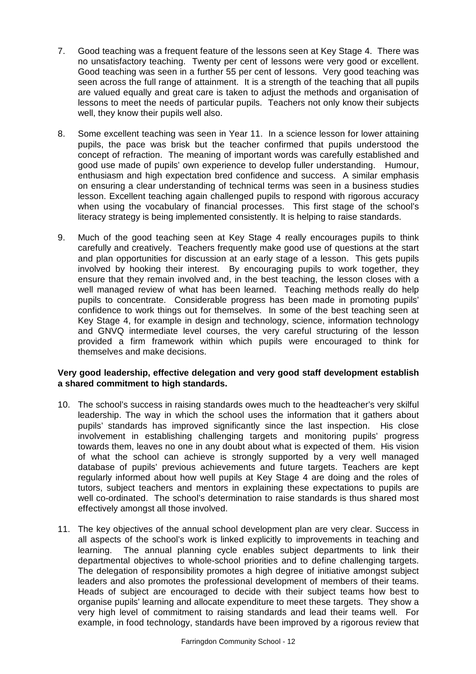- 7. Good teaching was a frequent feature of the lessons seen at Key Stage 4. There was no unsatisfactory teaching. Twenty per cent of lessons were very good or excellent. Good teaching was seen in a further 55 per cent of lessons. Very good teaching was seen across the full range of attainment. It is a strength of the teaching that all pupils are valued equally and great care is taken to adjust the methods and organisation of lessons to meet the needs of particular pupils. Teachers not only know their subjects well, they know their pupils well also.
- 8. Some excellent teaching was seen in Year 11. In a science lesson for lower attaining pupils, the pace was brisk but the teacher confirmed that pupils understood the concept of refraction. The meaning of important words was carefully established and good use made of pupils' own experience to develop fuller understanding. Humour, enthusiasm and high expectation bred confidence and success. A similar emphasis on ensuring a clear understanding of technical terms was seen in a business studies lesson. Excellent teaching again challenged pupils to respond with rigorous accuracy when using the vocabulary of financial processes. This first stage of the school's literacy strategy is being implemented consistently. It is helping to raise standards.
- 9. Much of the good teaching seen at Key Stage 4 really encourages pupils to think carefully and creatively. Teachers frequently make good use of questions at the start and plan opportunities for discussion at an early stage of a lesson. This gets pupils involved by hooking their interest. By encouraging pupils to work together, they ensure that they remain involved and, in the best teaching, the lesson closes with a well managed review of what has been learned. Teaching methods really do help pupils to concentrate. Considerable progress has been made in promoting pupils' confidence to work things out for themselves. In some of the best teaching seen at Key Stage 4, for example in design and technology, science, information technology and GNVQ intermediate level courses, the very careful structuring of the lesson provided a firm framework within which pupils were encouraged to think for themselves and make decisions.

#### **Very good leadership, effective delegation and very good staff development establish a shared commitment to high standards.**

- 10. The school's success in raising standards owes much to the headteacher's very skilful leadership. The way in which the school uses the information that it gathers about pupils' standards has improved significantly since the last inspection. His close involvement in establishing challenging targets and monitoring pupils' progress towards them, leaves no one in any doubt about what is expected of them. His vision of what the school can achieve is strongly supported by a very well managed database of pupils' previous achievements and future targets. Teachers are kept regularly informed about how well pupils at Key Stage 4 are doing and the roles of tutors, subject teachers and mentors in explaining these expectations to pupils are well co-ordinated. The school's determination to raise standards is thus shared most effectively amongst all those involved.
- 11. The key objectives of the annual school development plan are very clear. Success in all aspects of the school's work is linked explicitly to improvements in teaching and learning. The annual planning cycle enables subject departments to link their departmental objectives to whole-school priorities and to define challenging targets. The delegation of responsibility promotes a high degree of initiative amongst subject leaders and also promotes the professional development of members of their teams. Heads of subject are encouraged to decide with their subject teams how best to organise pupils' learning and allocate expenditure to meet these targets. They show a very high level of commitment to raising standards and lead their teams well. For example, in food technology, standards have been improved by a rigorous review that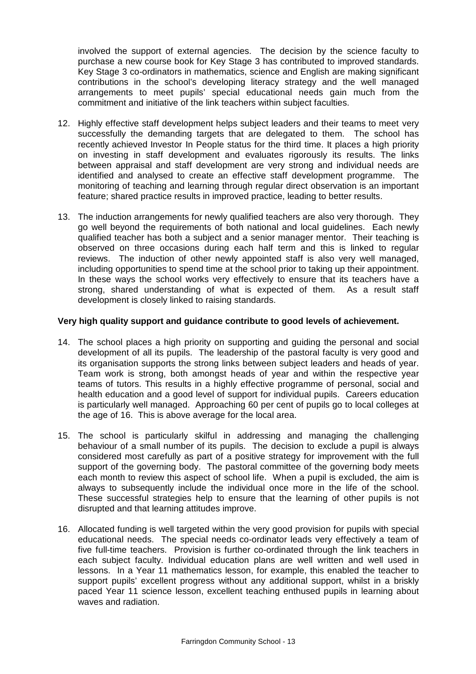involved the support of external agencies. The decision by the science faculty to purchase a new course book for Key Stage 3 has contributed to improved standards. Key Stage 3 co-ordinators in mathematics, science and English are making significant contributions in the school's developing literacy strategy and the well managed arrangements to meet pupils' special educational needs gain much from the commitment and initiative of the link teachers within subject faculties.

- 12. Highly effective staff development helps subject leaders and their teams to meet very successfully the demanding targets that are delegated to them. The school has recently achieved Investor In People status for the third time. It places a high priority on investing in staff development and evaluates rigorously its results. The links between appraisal and staff development are very strong and individual needs are identified and analysed to create an effective staff development programme. The monitoring of teaching and learning through regular direct observation is an important feature; shared practice results in improved practice, leading to better results.
- 13. The induction arrangements for newly qualified teachers are also very thorough. They go well beyond the requirements of both national and local guidelines. Each newly qualified teacher has both a subject and a senior manager mentor. Their teaching is observed on three occasions during each half term and this is linked to regular reviews. The induction of other newly appointed staff is also very well managed, including opportunities to spend time at the school prior to taking up their appointment. In these ways the school works very effectively to ensure that its teachers have a strong, shared understanding of what is expected of them. As a result staff development is closely linked to raising standards.

#### **Very high quality support and guidance contribute to good levels of achievement.**

- 14. The school places a high priority on supporting and guiding the personal and social development of all its pupils. The leadership of the pastoral faculty is very good and its organisation supports the strong links between subject leaders and heads of year. Team work is strong, both amongst heads of year and within the respective year teams of tutors. This results in a highly effective programme of personal, social and health education and a good level of support for individual pupils. Careers education is particularly well managed. Approaching 60 per cent of pupils go to local colleges at the age of 16. This is above average for the local area.
- 15. The school is particularly skilful in addressing and managing the challenging behaviour of a small number of its pupils. The decision to exclude a pupil is always considered most carefully as part of a positive strategy for improvement with the full support of the governing body. The pastoral committee of the governing body meets each month to review this aspect of school life. When a pupil is excluded, the aim is always to subsequently include the individual once more in the life of the school. These successful strategies help to ensure that the learning of other pupils is not disrupted and that learning attitudes improve.
- 16. Allocated funding is well targeted within the very good provision for pupils with special educational needs. The special needs co-ordinator leads very effectively a team of five full-time teachers. Provision is further co-ordinated through the link teachers in each subject faculty. Individual education plans are well written and well used in lessons. In a Year 11 mathematics lesson, for example, this enabled the teacher to support pupils' excellent progress without any additional support, whilst in a briskly paced Year 11 science lesson, excellent teaching enthused pupils in learning about waves and radiation.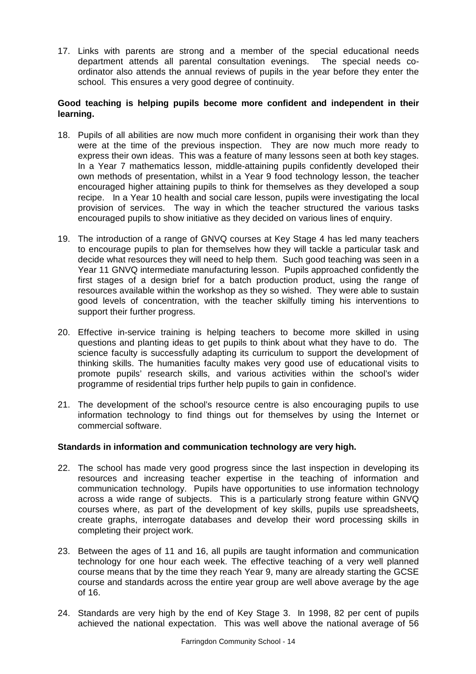17. Links with parents are strong and a member of the special educational needs department attends all parental consultation evenings. The special needs coordinator also attends the annual reviews of pupils in the year before they enter the school. This ensures a very good degree of continuity.

#### **Good teaching is helping pupils become more confident and independent in their learning.**

- 18. Pupils of all abilities are now much more confident in organising their work than they were at the time of the previous inspection. They are now much more ready to express their own ideas. This was a feature of many lessons seen at both key stages. In a Year 7 mathematics lesson, middle-attaining pupils confidently developed their own methods of presentation, whilst in a Year 9 food technology lesson, the teacher encouraged higher attaining pupils to think for themselves as they developed a soup recipe. In a Year 10 health and social care lesson, pupils were investigating the local provision of services. The way in which the teacher structured the various tasks encouraged pupils to show initiative as they decided on various lines of enquiry.
- 19. The introduction of a range of GNVQ courses at Key Stage 4 has led many teachers to encourage pupils to plan for themselves how they will tackle a particular task and decide what resources they will need to help them. Such good teaching was seen in a Year 11 GNVQ intermediate manufacturing lesson. Pupils approached confidently the first stages of a design brief for a batch production product, using the range of resources available within the workshop as they so wished. They were able to sustain good levels of concentration, with the teacher skilfully timing his interventions to support their further progress.
- 20. Effective in-service training is helping teachers to become more skilled in using questions and planting ideas to get pupils to think about what they have to do. The science faculty is successfully adapting its curriculum to support the development of thinking skills. The humanities faculty makes very good use of educational visits to promote pupils' research skills, and various activities within the school's wider programme of residential trips further help pupils to gain in confidence.
- 21. The development of the school's resource centre is also encouraging pupils to use information technology to find things out for themselves by using the Internet or commercial software.

#### **Standards in information and communication technology are very high.**

- 22. The school has made very good progress since the last inspection in developing its resources and increasing teacher expertise in the teaching of information and communication technology. Pupils have opportunities to use information technology across a wide range of subjects. This is a particularly strong feature within GNVQ courses where, as part of the development of key skills, pupils use spreadsheets, create graphs, interrogate databases and develop their word processing skills in completing their project work.
- 23. Between the ages of 11 and 16, all pupils are taught information and communication technology for one hour each week. The effective teaching of a very well planned course means that by the time they reach Year 9, many are already starting the GCSE course and standards across the entire year group are well above average by the age of 16.
- 24. Standards are very high by the end of Key Stage 3. In 1998, 82 per cent of pupils achieved the national expectation. This was well above the national average of 56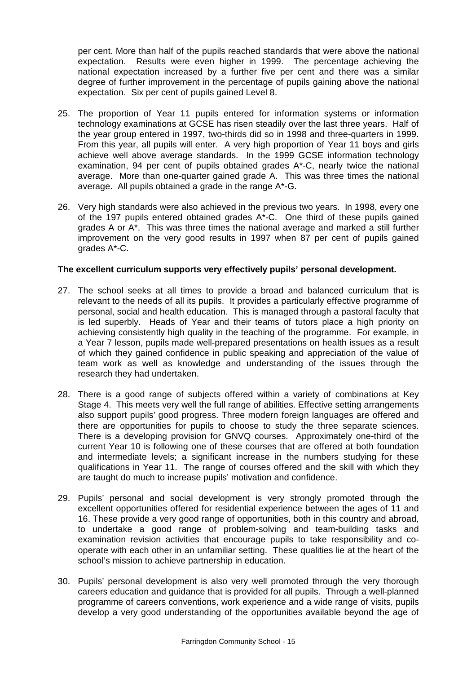per cent. More than half of the pupils reached standards that were above the national expectation. Results were even higher in 1999. The percentage achieving the national expectation increased by a further five per cent and there was a similar degree of further improvement in the percentage of pupils gaining above the national expectation. Six per cent of pupils gained Level 8.

- 25. The proportion of Year 11 pupils entered for information systems or information technology examinations at GCSE has risen steadily over the last three years. Half of the year group entered in 1997, two-thirds did so in 1998 and three-quarters in 1999. From this year, all pupils will enter. A very high proportion of Year 11 boys and girls achieve well above average standards. In the 1999 GCSE information technology examination, 94 per cent of pupils obtained grades A\*-C, nearly twice the national average. More than one-quarter gained grade A. This was three times the national average. All pupils obtained a grade in the range A\*-G.
- 26. Very high standards were also achieved in the previous two years. In 1998, every one of the 197 pupils entered obtained grades A\*-C. One third of these pupils gained grades A or A\*. This was three times the national average and marked a still further improvement on the very good results in 1997 when 87 per cent of pupils gained grades A\*-C.

### **The excellent curriculum supports very effectively pupils' personal development.**

- 27. The school seeks at all times to provide a broad and balanced curriculum that is relevant to the needs of all its pupils. It provides a particularly effective programme of personal, social and health education. This is managed through a pastoral faculty that is led superbly. Heads of Year and their teams of tutors place a high priority on achieving consistently high quality in the teaching of the programme. For example, in a Year 7 lesson, pupils made well-prepared presentations on health issues as a result of which they gained confidence in public speaking and appreciation of the value of team work as well as knowledge and understanding of the issues through the research they had undertaken.
- 28. There is a good range of subjects offered within a variety of combinations at Key Stage 4. This meets very well the full range of abilities. Effective setting arrangements also support pupils' good progress. Three modern foreign languages are offered and there are opportunities for pupils to choose to study the three separate sciences. There is a developing provision for GNVQ courses. Approximately one-third of the current Year 10 is following one of these courses that are offered at both foundation and intermediate levels; a significant increase in the numbers studying for these qualifications in Year 11. The range of courses offered and the skill with which they are taught do much to increase pupils' motivation and confidence.
- 29. Pupils' personal and social development is very strongly promoted through the excellent opportunities offered for residential experience between the ages of 11 and 16. These provide a very good range of opportunities, both in this country and abroad, to undertake a good range of problem-solving and team-building tasks and examination revision activities that encourage pupils to take responsibility and cooperate with each other in an unfamiliar setting. These qualities lie at the heart of the school's mission to achieve partnership in education.
- 30. Pupils' personal development is also very well promoted through the very thorough careers education and guidance that is provided for all pupils. Through a well-planned programme of careers conventions, work experience and a wide range of visits, pupils develop a very good understanding of the opportunities available beyond the age of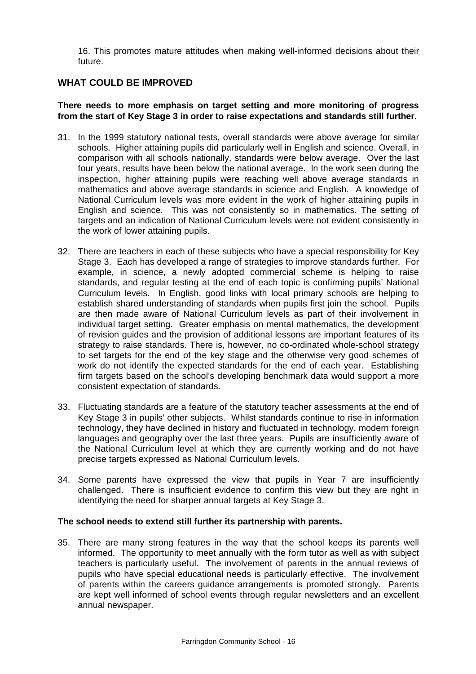16. This promotes mature attitudes when making well-informed decisions about their future.

# **WHAT COULD BE IMPROVED**

#### **There needs to more emphasis on target setting and more monitoring of progress from the start of Key Stage 3 in order to raise expectations and standards still further.**

- 31. In the 1999 statutory national tests, overall standards were above average for similar schools. Higher attaining pupils did particularly well in English and science. Overall, in comparison with all schools nationally, standards were below average. Over the last four years, results have been below the national average. In the work seen during the inspection, higher attaining pupils were reaching well above average standards in mathematics and above average standards in science and English. A knowledge of National Curriculum levels was more evident in the work of higher attaining pupils in English and science. This was not consistently so in mathematics. The setting of targets and an indication of National Curriculum levels were not evident consistently in the work of lower attaining pupils.
- 32. There are teachers in each of these subjects who have a special responsibility for Key Stage 3. Each has developed a range of strategies to improve standards further. For example, in science, a newly adopted commercial scheme is helping to raise standards, and regular testing at the end of each topic is confirming pupils' National Curriculum levels. In English, good links with local primary schools are helping to establish shared understanding of standards when pupils first join the school. Pupils are then made aware of National Curriculum levels as part of their involvement in individual target setting. Greater emphasis on mental mathematics, the development of revision guides and the provision of additional lessons are important features of its strategy to raise standards. There is, however, no co-ordinated whole-school strategy to set targets for the end of the key stage and the otherwise very good schemes of work do not identify the expected standards for the end of each year. Establishing firm targets based on the school's developing benchmark data would support a more consistent expectation of standards.
- 33. Fluctuating standards are a feature of the statutory teacher assessments at the end of Key Stage 3 in pupils' other subjects. Whilst standards continue to rise in information technology, they have declined in history and fluctuated in technology, modern foreign languages and geography over the last three years. Pupils are insufficiently aware of the National Curriculum level at which they are currently working and do not have precise targets expressed as National Curriculum levels.
- 34. Some parents have expressed the view that pupils in Year 7 are insufficiently challenged. There is insufficient evidence to confirm this view but they are right in identifying the need for sharper annual targets at Key Stage 3.

#### **The school needs to extend still further its partnership with parents.**

35. There are many strong features in the way that the school keeps its parents well informed. The opportunity to meet annually with the form tutor as well as with subject teachers is particularly useful. The involvement of parents in the annual reviews of pupils who have special educational needs is particularly effective. The involvement of parents within the careers guidance arrangements is promoted strongly. Parents are kept well informed of school events through regular newsletters and an excellent annual newspaper.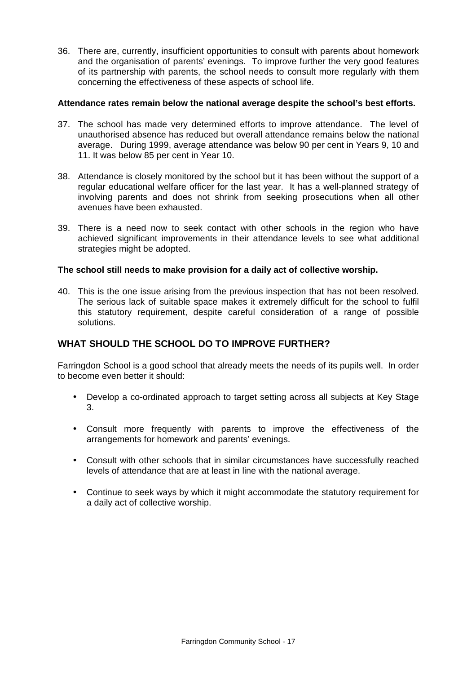36. There are, currently, insufficient opportunities to consult with parents about homework and the organisation of parents' evenings. To improve further the very good features of its partnership with parents, the school needs to consult more regularly with them concerning the effectiveness of these aspects of school life.

#### **Attendance rates remain below the national average despite the school's best efforts.**

- 37. The school has made very determined efforts to improve attendance. The level of unauthorised absence has reduced but overall attendance remains below the national average. During 1999, average attendance was below 90 per cent in Years 9, 10 and 11. It was below 85 per cent in Year 10.
- 38. Attendance is closely monitored by the school but it has been without the support of a regular educational welfare officer for the last year. It has a well-planned strategy of involving parents and does not shrink from seeking prosecutions when all other avenues have been exhausted.
- 39. There is a need now to seek contact with other schools in the region who have achieved significant improvements in their attendance levels to see what additional strategies might be adopted.

#### **The school still needs to make provision for a daily act of collective worship.**

40. This is the one issue arising from the previous inspection that has not been resolved. The serious lack of suitable space makes it extremely difficult for the school to fulfil this statutory requirement, despite careful consideration of a range of possible solutions.

## **WHAT SHOULD THE SCHOOL DO TO IMPROVE FURTHER?**

Farringdon School is a good school that already meets the needs of its pupils well. In order to become even better it should:

- Develop a co-ordinated approach to target setting across all subjects at Key Stage 3.
- Consult more frequently with parents to improve the effectiveness of the arrangements for homework and parents' evenings.
- Consult with other schools that in similar circumstances have successfully reached levels of attendance that are at least in line with the national average.
- Continue to seek ways by which it might accommodate the statutory requirement for a daily act of collective worship.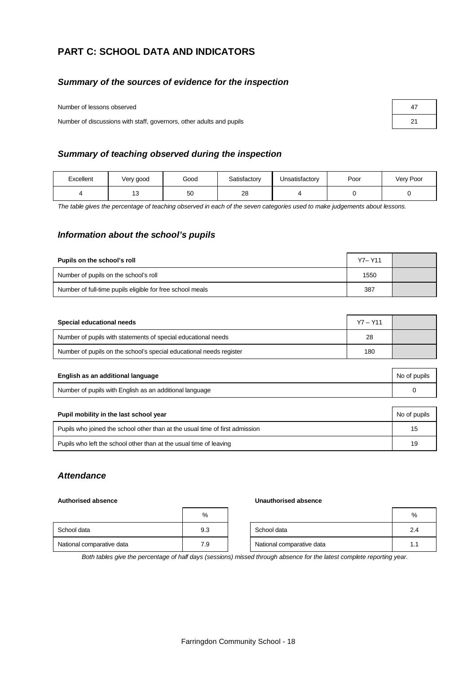# **PART C: SCHOOL DATA AND INDICATORS**

#### *Summary of the sources of evidence for the inspection*

Number of lessons observed

Number of discussions with staff, governors, other adults and pupils

| 47 |  |
|----|--|
| 21 |  |

#### *Summary of teaching observed during the inspection*

| Excellent | Very good | Good | Satisfactory | Unsatisfactory | Poor | Very Poor |
|-----------|-----------|------|--------------|----------------|------|-----------|
|           | טו        | 50   | 28           |                |      |           |

*The table gives the percentage of teaching observed in each of the seven categories used to make judgements about lessons.*

#### *Information about the school's pupils*

| Pupils on the school's roll                               | Y7-Y11 |  |
|-----------------------------------------------------------|--------|--|
| Number of pupils on the school's roll                     | 1550   |  |
| Number of full-time pupils eligible for free school meals | 387    |  |

| Special educational needs                                           | $Y7 - Y11$ |  |
|---------------------------------------------------------------------|------------|--|
| Number of pupils with statements of special educational needs       | 28         |  |
| Number of pupils on the school's special educational needs register | 180        |  |

| English as an additional language                       | No of pupils |  |
|---------------------------------------------------------|--------------|--|
| Number of pupils with English as an additional language |              |  |
|                                                         |              |  |
| Pupil mobility in the last school year                  | No of pupils |  |

| $\frac{1}{2}$ applies in the radio solloof your                              | <b>UTO OF PUPIL</b> |
|------------------------------------------------------------------------------|---------------------|
| Pupils who joined the school other than at the usual time of first admission |                     |
| Pupils who left the school other than at the usual time of leaving           |                     |

#### *Attendance*

#### **Authorised absence Unauthorised absence**

|                           | %   |                           | %   |
|---------------------------|-----|---------------------------|-----|
| School data               | 9.3 | School data               | 2.4 |
| National comparative data | 7.9 | National comparative data | 1.  |

*Both tables give the percentage of half days (sessions) missed through absence for the latest complete reporting year.*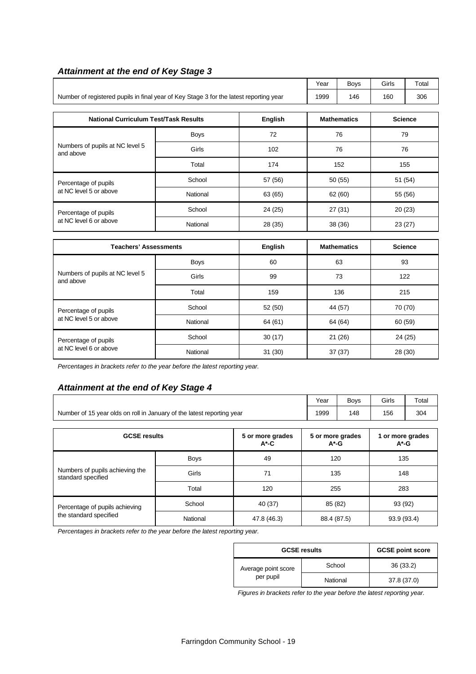|                                                                                        | Year                                                                                            | <b>Boys</b> | Girls     | Total              |         |                |  |  |  |
|----------------------------------------------------------------------------------------|-------------------------------------------------------------------------------------------------|-------------|-----------|--------------------|---------|----------------|--|--|--|
| Number of registered pupils in final year of Key Stage 3 for the latest reporting year | 1999                                                                                            | 146         | 160       | 306                |         |                |  |  |  |
|                                                                                        | <b>National Curriculum Test/Task Results</b><br>English<br><b>Mathematics</b><br><b>Science</b> |             |           |                    |         |                |  |  |  |
|                                                                                        |                                                                                                 |             |           |                    |         |                |  |  |  |
|                                                                                        | <b>Boys</b>                                                                                     | 72          |           | 76                 |         | 79             |  |  |  |
| Numbers of pupils at NC level 5<br>and above                                           | Girls                                                                                           | 102         |           | 76                 |         | 76             |  |  |  |
|                                                                                        | Total                                                                                           | 174         |           | 152                |         | 155            |  |  |  |
| Percentage of pupils                                                                   | School                                                                                          | 57 (56)     |           | 50 (55)            |         | 51 (54)        |  |  |  |
| at NC level 5 or above                                                                 | National                                                                                        | 63 (65)     | 62 (60)   |                    | 55 (56) |                |  |  |  |
| Percentage of pupils                                                                   | School                                                                                          | 24 (25)     | 27 (31)   |                    | 20(23)  |                |  |  |  |
| at NC level 6 or above                                                                 | National                                                                                        | 28 (35)     | 38 (36)   |                    | 23(27)  |                |  |  |  |
|                                                                                        |                                                                                                 |             |           |                    |         |                |  |  |  |
| <b>Teachers' Assessments</b>                                                           |                                                                                                 | English     |           | <b>Mathematics</b> |         | <b>Science</b> |  |  |  |
|                                                                                        | <b>Boys</b>                                                                                     | 60          |           | 63                 |         | 93             |  |  |  |
| Numbers of pupils at NC level 5<br>and above                                           | Girls                                                                                           | 99          | 73<br>122 |                    |         |                |  |  |  |
|                                                                                        | Total                                                                                           | 159         |           | 136<br>215         |         |                |  |  |  |
| Percentage of pupils                                                                   | School                                                                                          | 52 (50)     | 44 (57)   |                    |         | 70 (70)        |  |  |  |
| at NC level 5 or above                                                                 | National                                                                                        | 64 (61)     |           | 64 (64)            | 60 (59) |                |  |  |  |
| Percentage of pupils                                                                   | School                                                                                          | 30(17)      |           | 21 (26)            |         | 24 (25)        |  |  |  |

# *Attainment at the end of Key Stage 3*

*Percentages in brackets refer to the year before the latest reporting year.*

#### *Attainment at the end of Key Stage 4*

|                                                                        |                              |                    | Year                         | <b>Boys</b> | Girls       | Total |  |
|------------------------------------------------------------------------|------------------------------|--------------------|------------------------------|-------------|-------------|-------|--|
| Number of 15 year olds on roll in January of the latest reporting year | 1999                         | 148                | 156                          | 304         |             |       |  |
| <b>GCSE results</b>                                                    | 5 or more grades<br>$A^*$ -G |                    | 1 or more grades<br>$A^*$ -G |             |             |       |  |
| Numbers of pupils achieving the<br>standard specified                  | <b>Boys</b>                  | 49                 |                              | 120         |             | 135   |  |
|                                                                        | Girls                        | 71                 |                              | 135         |             | 148   |  |
|                                                                        | Total                        | 120                |                              | 255         |             | 283   |  |
| Percentage of pupils achieving<br>the standard specified               | School                       | 85 (82)<br>40 (37) |                              |             | 93 (92)     |       |  |
|                                                                        | National                     | 47.8 (46.3)        | 88.4 (87.5)                  |             | 93.9 (93.4) |       |  |

at NC level 6 or above National 31 (30) 37 (37) 28 (30)

*Percentages in brackets refer to the year before the latest reporting year.*

| <b>GCSE results</b>              | <b>GCSE point score</b> |             |
|----------------------------------|-------------------------|-------------|
| Average point score<br>per pupil | School                  | 36(33.2)    |
|                                  | National                | 37.8 (37.0) |

*Figures in brackets refer to the year before the latest reporting year.*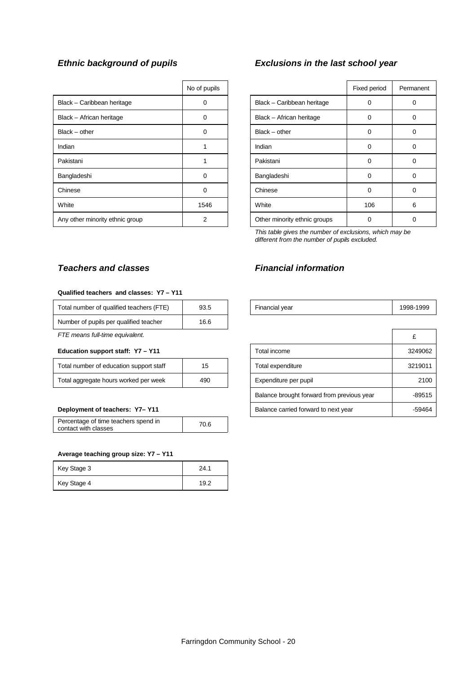|                                 | No of pupils   |                              | Fixed period | Perma       |
|---------------------------------|----------------|------------------------------|--------------|-------------|
| Black - Caribbean heritage      | 0              | Black - Caribbean heritage   | O            | $\Omega$    |
| Black - African heritage        | $\Omega$       | Black - African heritage     | 0            | 0           |
| $Black - other$                 | $\Omega$       | $Black - other$              | 0            | 0           |
| Indian                          |                | Indian                       | 0            | $\mathbf 0$ |
| Pakistani                       |                | Pakistani                    | $\Omega$     | $\Omega$    |
| Bangladeshi                     | $\Omega$       | Bangladeshi                  | 0            | $\Omega$    |
| Chinese                         | 0              | Chinese                      | 0            | $\mathbf 0$ |
| White                           | 1546           | White                        | 106          | 6           |
| Any other minority ethnic group | $\overline{2}$ | Other minority ethnic groups | O            | $\Omega$    |

# *Ethnic background of pupils Exclusions in the last school year*

| No of pupils |                              | Fixed period | Permanent |
|--------------|------------------------------|--------------|-----------|
| n            | Black - Caribbean heritage   | 0            | 0         |
| 0            | Black - African heritage     | O            | 0         |
| O            | $Black - other$              | $\Omega$     | 0         |
|              | Indian                       | $\Omega$     | 0         |
| 1            | Pakistani                    | 0            | 0         |
| O            | Bangladeshi                  | $\Omega$     | $\Omega$  |
| ŋ            | Chinese                      | $\Omega$     | $\Omega$  |
| 1546         | White                        | 106          | 6         |
| 2            | Other minority ethnic groups | O            | 0         |

*This table gives the number of exclusions, which may be different from the number of pupils excluded.*

## *Teachers and classes Financial information*

#### **Qualified teachers and classes: Y7 – Y11**

| Total number of qualified teachers (FTE) | 93.5 | Financial vear | 1998-1999 |
|------------------------------------------|------|----------------|-----------|
| Number of pupils per qualified teacher   | 16.6 |                |           |

#### **Education support staff: Y7 - Y11**

| Total number of education support staff | 15  |
|-----------------------------------------|-----|
| Total aggregate hours worked per week   | 490 |

| Percentage of time teachers spend in | 70.6 |
|--------------------------------------|------|
| contact with classes                 |      |

#### **Average teaching group size: Y7 – Y11**

| Key Stage 3 | 24.1  |
|-------------|-------|
| Key Stage 4 | 1 Q 2 |

| TURN HUITIDEL OF QUAILITIED LEACHERS (FILE) | ອວ.ບ | ⊓⊪anuaryear                                | ៲ສອບ-ເອອອ |
|---------------------------------------------|------|--------------------------------------------|-----------|
| Number of pupils per qualified teacher      | 16.6 |                                            |           |
| FTE means full-time equivalent.             |      |                                            | £         |
| Education support staff: Y7 - Y11           |      | Total income                               | 3249062   |
| Total number of education support staff     | 15   | Total expenditure                          | 3219011   |
| Total aggregate hours worked per week       | 490  | Expenditure per pupil                      | 2100      |
|                                             |      | Balance brought forward from previous year | $-89515$  |
| Deployment of teachers: Y7-Y11              |      | Balance carried forward to next year       | -59464    |